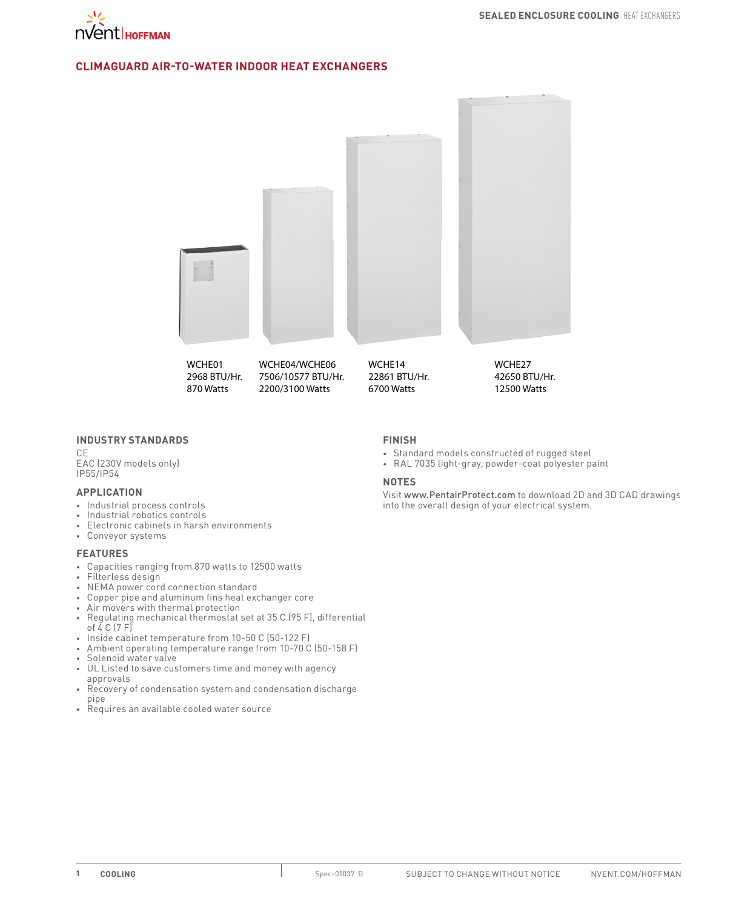

### **CLIMAGUARD Air-to-Water Indoor Heat exchangers**



### **INDUSTRY STANDARDS**

CE

EAC (230V models only) IP55/IP54

#### **APPLICATION**

- • Industrial process controls
- • Industrial robotics controls
- • Electronic cabinets in harsh environments
- • Conveyor systems

### **FEATURES**

- • Capacities ranging from 870 watts to 12500 watts
- Filterless design
- • NEMA power cord connection standard
- • Copper pipe and aluminum fins heat exchanger core
- Air movers with thermal protection
- Regulating mechanical thermostat set at 35 C (95 F), differential of  $\overline{4}$  C (7 F)
- Inside cabinet temperature from 10-50 C (50-122 F)
- Ambient operating temperature range from 10-70 C (50-158 F)
- • Solenoid water valve
- • UL Listed to save customers time and money with agency approvals
- • Recovery of condensation system and condensation discharge pipe
- Requires an available cooled water source

### **FINISH**

- • Standard models constructed of rugged steel
- RAL 7035 light-gray, powder-coat polyester paint

#### **NOTES**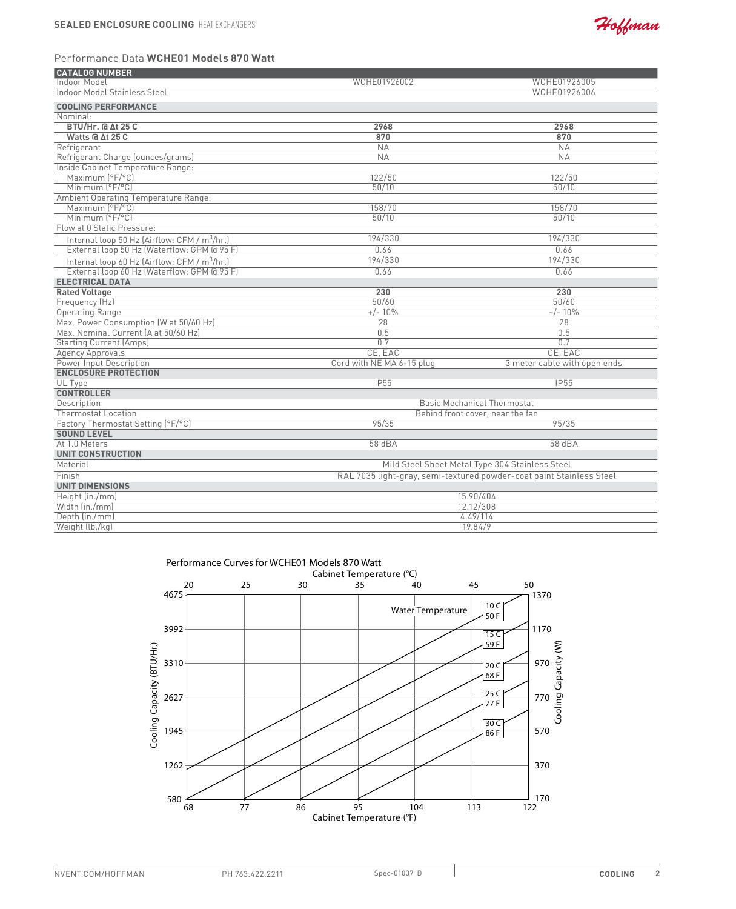

## Performance Data **WCHE01 Models 870 Watt**

| <b>CATALOG NUMBER</b>                                    |                                                                      |                              |  |
|----------------------------------------------------------|----------------------------------------------------------------------|------------------------------|--|
| Indoor Model                                             | WCHE01926002                                                         | WCHE01926005                 |  |
| <b>Indoor Model Stainless Steel</b>                      |                                                                      | WCHE01926006                 |  |
| <b>COOLING PERFORMANCE</b>                               |                                                                      |                              |  |
| Nominal:                                                 |                                                                      |                              |  |
| <b>BTU/Hr. @ At 25 C</b>                                 | 2968                                                                 | 2968                         |  |
| Watts @ At 25 C                                          | 870                                                                  | 870                          |  |
| Refrigerant                                              | NA                                                                   | NA                           |  |
| Refrigerant Charge (ounces/grams)                        | <b>NA</b>                                                            | <b>NA</b>                    |  |
| Inside Cabinet Temperature Range:                        |                                                                      |                              |  |
| Maximum [°F/°C]                                          | 122/50                                                               | 122/50                       |  |
| Minimum (°F/°C)                                          | 50/10                                                                | 50/10                        |  |
| <b>Ambient Operating Temperature Range:</b>              |                                                                      |                              |  |
| Maximum (°F/°C)                                          | 158/70                                                               | 158/70                       |  |
| Minimum (°F/°C)                                          | 50/10                                                                | 50/10                        |  |
| Flow at 0 Static Pressure:                               |                                                                      |                              |  |
| Internal loop 50 Hz (Airflow: CFM / m <sup>3</sup> /hr.) | 194/330                                                              | 194/330                      |  |
| External loop 50 Hz (Waterflow: GPM @ 95 F)              | 0.66                                                                 | 0.66                         |  |
| Internal loop 60 Hz (Airflow: CFM / m <sup>3</sup> /hr.) | 194/330                                                              | 194/330                      |  |
| External loop 60 Hz (Waterflow: GPM @ 95 F)              | 0.66                                                                 | 0.66                         |  |
| <b>ELECTRICAL DATA</b>                                   |                                                                      |                              |  |
| <b>Rated Voltage</b>                                     | 230                                                                  | 230                          |  |
| Frequency (Hz)                                           | 50/60                                                                | 50/60                        |  |
| <b>Operating Range</b>                                   | $+/- 10%$                                                            | $+/- 10%$                    |  |
| Max. Power Consumption (W at 50/60 Hz)                   | $\overline{28}$                                                      | 28                           |  |
| Max. Nominal Current (A at 50/60 Hz)                     | 0.5                                                                  | 0.5                          |  |
| <b>Starting Current (Amps)</b>                           | 0.7                                                                  | 0.7                          |  |
| <b>Agency Approvals</b>                                  | CE, EAC                                                              | CE. EAC                      |  |
| <b>Power Input Description</b>                           | Cord with NE MA 6-15 plug                                            | 3 meter cable with open ends |  |
| <b>ENCLOSURE PROTECTION</b>                              |                                                                      |                              |  |
| UL Type                                                  | <b>IP55</b>                                                          | <b>IP55</b>                  |  |
| <b>CONTROLLER</b>                                        |                                                                      |                              |  |
| Description                                              | <b>Basic Mechanical Thermostat</b>                                   |                              |  |
| <b>Thermostat Location</b>                               | Behind front cover, near the fan                                     |                              |  |
| Factory Thermostat Setting (°F/°C)                       | 95/35                                                                | 95/35                        |  |
| <b>SOUND LEVEL</b>                                       |                                                                      |                              |  |
| At 1.0 Meters                                            | 58 dBA                                                               | 58 dBA                       |  |
| <b>UNIT CONSTRUCTION</b>                                 |                                                                      |                              |  |
| Material                                                 | Mild Steel Sheet Metal Type 304 Stainless Steel                      |                              |  |
| Finish                                                   | RAL 7035 light-gray, semi-textured powder-coat paint Stainless Steel |                              |  |
| <b>UNIT DIMENSIONS</b>                                   |                                                                      |                              |  |
| Height (in./mm)                                          | 15.90/404                                                            |                              |  |
| Width (in./mm)                                           | 12.12/308                                                            |                              |  |
| Depth (in./mm)                                           | 4.49/114                                                             |                              |  |
| Weight (lb./kg)                                          | 19.84/9                                                              |                              |  |

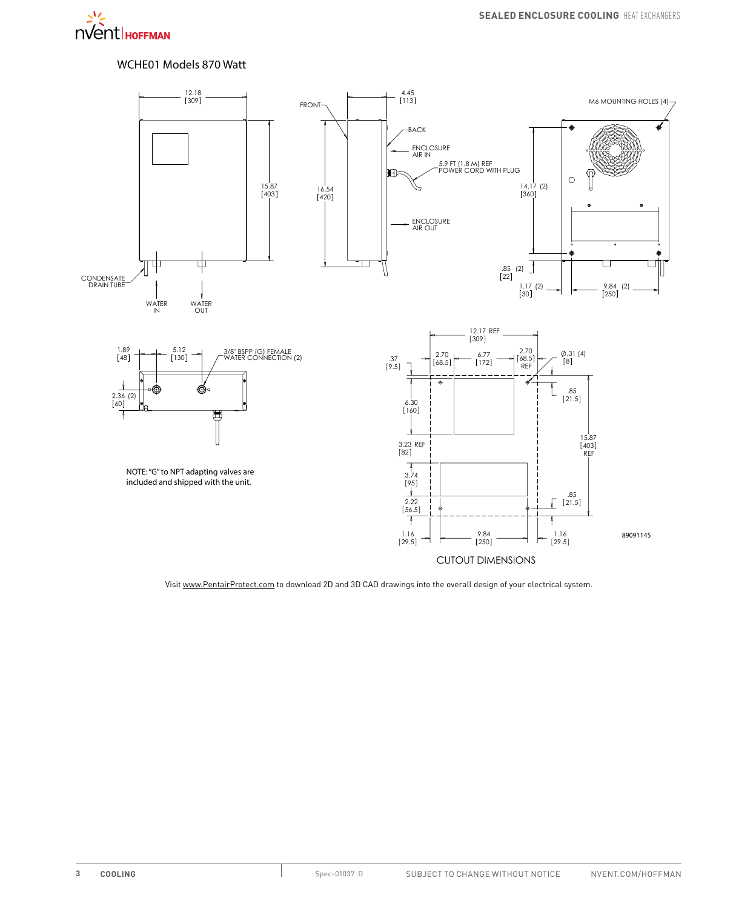

# WCHE01 Models 870 Watt

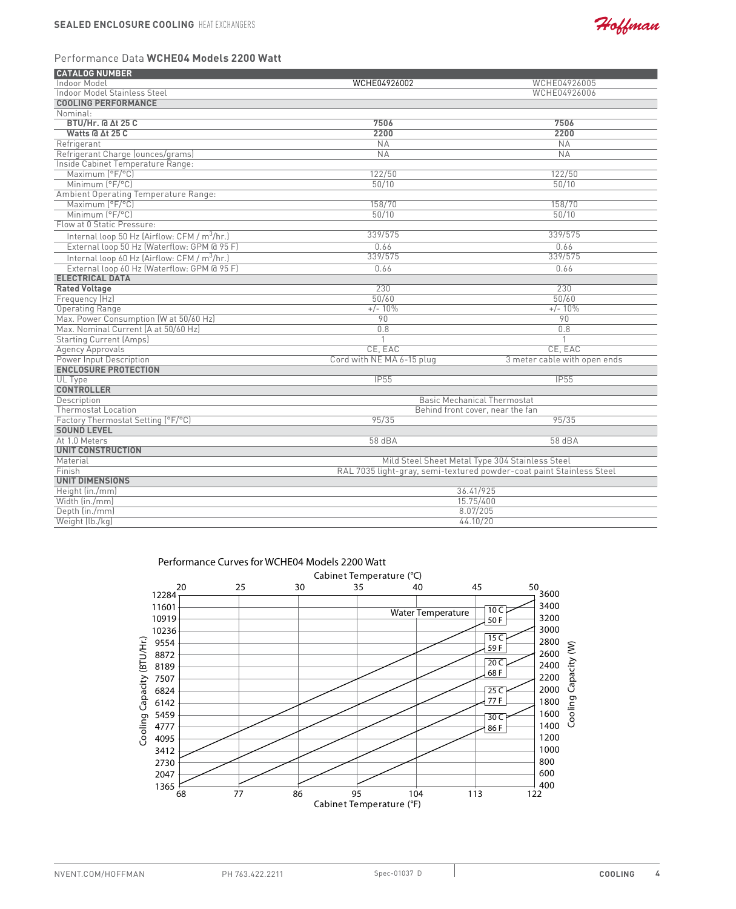

# Performance Data **WCHE04 Models 2200 Watt**

| <b>CATALOG NUMBER</b>                                    |                                                                      |                              |  |
|----------------------------------------------------------|----------------------------------------------------------------------|------------------------------|--|
| Indoor Model                                             | WCHE04926002                                                         | WCHE04926005                 |  |
| <b>Indoor Model Stainless Steel</b>                      |                                                                      | WCHE04926006                 |  |
| <b>COOLING PERFORMANCE</b>                               |                                                                      |                              |  |
| Nominal:                                                 |                                                                      |                              |  |
| <b>BTU/Hr. @ At 25 C</b>                                 | 7506                                                                 | 7506                         |  |
| Watts @ At 25 C                                          | 2200                                                                 | 2200                         |  |
| Refrigerant                                              | <b>NA</b>                                                            | NA                           |  |
| Refrigerant Charge (ounces/grams)                        | NA                                                                   | <b>NA</b>                    |  |
| Inside Cabinet Temperature Range:                        |                                                                      |                              |  |
| Maximum (°F/°C)                                          | 122/50                                                               | 122/50                       |  |
| Minimum (°F/°C)                                          | 50/10                                                                | 50/10                        |  |
| <b>Ambient Operating Temperature Range:</b>              |                                                                      |                              |  |
| Maximum [°F/°C]                                          | 158/70                                                               | 158/70                       |  |
| Minimum (°F/°C)                                          | 50/10                                                                | 50/10                        |  |
| Flow at 0 Static Pressure:                               |                                                                      |                              |  |
| Internal loop 50 Hz (Airflow: CFM / m <sup>3</sup> /hr.) | 339/575                                                              | 339/575                      |  |
| External loop 50 Hz (Waterflow: GPM @ 95 F)              | 0.66                                                                 | 0.66                         |  |
| Internal loop 60 Hz (Airflow: CFM / $m^3/hr$ .)          | 339/575                                                              | 339/575                      |  |
| External loop 60 Hz (Waterflow: GPM @ 95 F)              | 0.66                                                                 | 0.66                         |  |
| <b>ELECTRICAL DATA</b>                                   |                                                                      |                              |  |
| <b>Rated Voltage</b>                                     | 230                                                                  | 230                          |  |
| Frequency (Hz)                                           | 50/60                                                                | 50/60                        |  |
| <b>Operating Range</b>                                   | $+/- 10%$                                                            | $+/- 10\%$                   |  |
| Max. Power Consumption (W at 50/60 Hz)                   | 90                                                                   | 90                           |  |
| Max. Nominal Current (A at 50/60 Hz)                     | 0.8                                                                  | 0.8                          |  |
| <b>Starting Current (Amps)</b>                           |                                                                      |                              |  |
| <b>Agency Approvals</b>                                  | CE. EAC                                                              | CE. EAC                      |  |
| Power Input Description                                  | Cord with NE MA 6-15 plug                                            | 3 meter cable with open ends |  |
| <b>ENCLOSURE PROTECTION</b>                              |                                                                      |                              |  |
| UL Type                                                  | IP55                                                                 | IP55                         |  |
| <b>CONTROLLER</b>                                        |                                                                      |                              |  |
| Description                                              | <b>Basic Mechanical Thermostat</b>                                   |                              |  |
| <b>Thermostat Location</b>                               | Behind front cover, near the fan                                     |                              |  |
| Factory Thermostat Setting (°F/°C)                       | 95/35                                                                | 95/35                        |  |
| <b>SOUND LEVEL</b>                                       |                                                                      |                              |  |
| At 1.0 Meters                                            | 58 dBA                                                               | 58 dBA                       |  |
| <b>UNIT CONSTRUCTION</b>                                 |                                                                      |                              |  |
| Material                                                 | Mild Steel Sheet Metal Type 304 Stainless Steel                      |                              |  |
| Finish                                                   | RAL 7035 light-gray, semi-textured powder-coat paint Stainless Steel |                              |  |
| <b>UNIT DIMENSIONS</b>                                   |                                                                      |                              |  |
| Height (in./mm)                                          | 36.41/925                                                            |                              |  |
| Width (in./mm)                                           | 15.75/400                                                            |                              |  |
| Depth (in./mm)                                           | 8.07/205                                                             |                              |  |
| Weight (lb./kg)                                          | 44.10/20                                                             |                              |  |



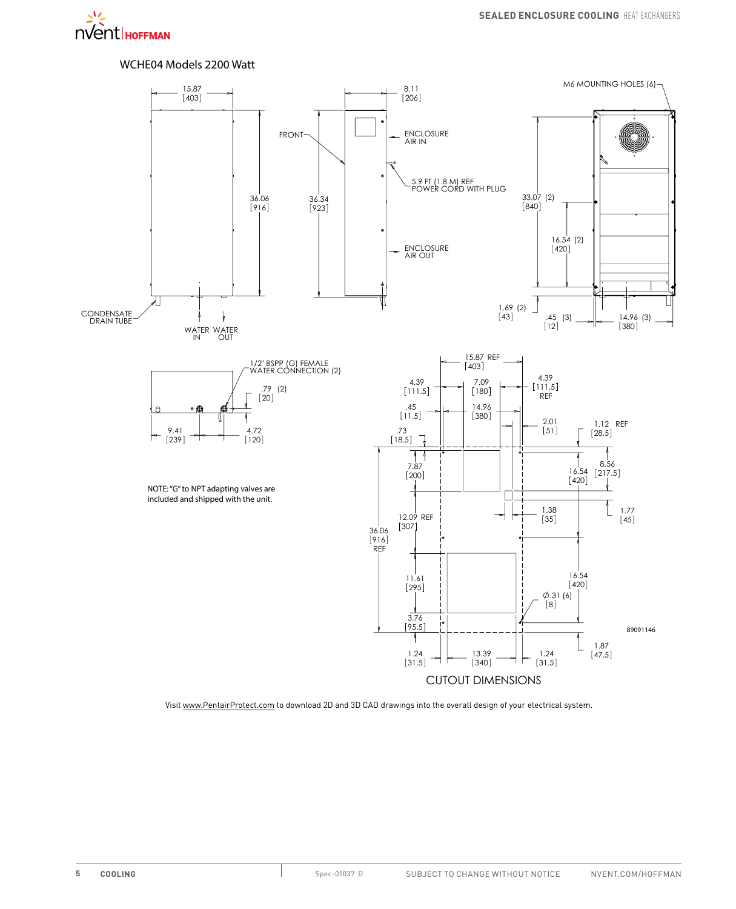

# WCHE04 Models 2200 Watt

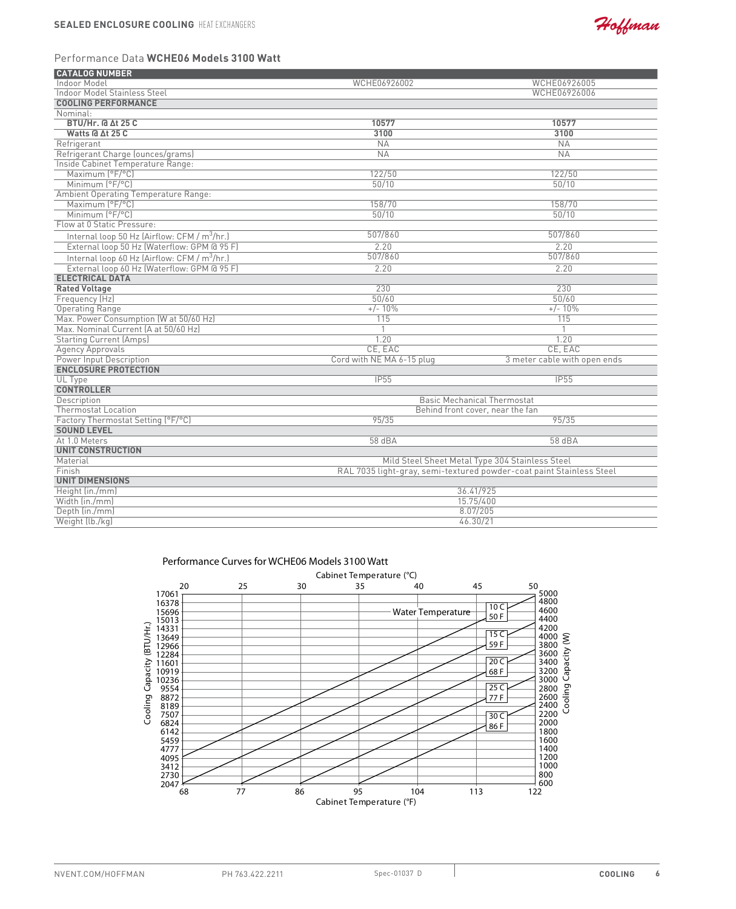

### Performance Data **WCHE06 Models 3100 Watt**

| <b>CATALOG NUMBER</b>                                    |                                                                      |                              |  |
|----------------------------------------------------------|----------------------------------------------------------------------|------------------------------|--|
| Indoor Model                                             | WCHE06926002                                                         | WCHE06926005                 |  |
| <b>Indoor Model Stainless Steel</b>                      |                                                                      | WCHE06926006                 |  |
| <b>COOLING PERFORMANCE</b>                               |                                                                      |                              |  |
| Nominal:                                                 |                                                                      |                              |  |
| <b>BTU/Hr. @ At 25 C</b>                                 | 10577                                                                | 10577                        |  |
| Watts @ At 25 C                                          | 3100                                                                 | 3100                         |  |
| Refrigerant                                              | <b>NA</b>                                                            | <b>NA</b>                    |  |
| Refrigerant Charge (ounces/grams)                        | NA                                                                   | <b>NA</b>                    |  |
| Inside Cabinet Temperature Range:                        |                                                                      |                              |  |
| Maximum (°F/°C)                                          | 122/50                                                               | 122/50                       |  |
| Minimum (°F/°C)                                          | 50/10                                                                | 50/10                        |  |
| <b>Ambient Operating Temperature Range:</b>              |                                                                      |                              |  |
| Maximum [°F/°C]                                          | 158/70                                                               | 158/70                       |  |
| Minimum (°F/°C)                                          | 50/10                                                                | 50/10                        |  |
| Flow at 0 Static Pressure:                               |                                                                      |                              |  |
| Internal loop 50 Hz (Airflow: CFM / m <sup>3</sup> /hr.) | 507/860                                                              | 507/860                      |  |
| External loop 50 Hz (Waterflow: GPM @ 95 F)              | 2.20                                                                 | 2.20                         |  |
| Internal loop 60 Hz (Airflow: CFM / m <sup>3</sup> /hr.) | 507/860                                                              | 507/860                      |  |
| External loop 60 Hz (Waterflow: GPM @ 95 F)              | 2.20                                                                 | 2.20                         |  |
| <b>ELECTRICAL DATA</b>                                   |                                                                      |                              |  |
| <b>Rated Voltage</b>                                     | 230                                                                  | 230                          |  |
| Frequency (Hz)                                           | 50/60                                                                | 50/60                        |  |
| <b>Operating Range</b>                                   | $+/- 10%$                                                            | $+/- 10\%$                   |  |
| Max. Power Consumption (W at 50/60 Hz)                   | 115                                                                  | 115                          |  |
| Max. Nominal Current (A at 50/60 Hz)                     |                                                                      |                              |  |
| <b>Starting Current (Amps)</b>                           | 1.20                                                                 | 1.20                         |  |
| <b>Agency Approvals</b>                                  | CE. EAC                                                              | CE. EAC                      |  |
| Power Input Description                                  | Cord with NE MA 6-15 plug                                            | 3 meter cable with open ends |  |
| <b>ENCLOSURE PROTECTION</b>                              |                                                                      |                              |  |
| UL Type                                                  | IP55                                                                 | IP55                         |  |
| <b>CONTROLLER</b>                                        |                                                                      |                              |  |
| Description                                              | <b>Basic Mechanical Thermostat</b>                                   |                              |  |
| <b>Thermostat Location</b>                               | Behind front cover, near the fan                                     |                              |  |
| Factory Thermostat Setting (°F/°C)                       | 95/35                                                                | 95/35                        |  |
| <b>SOUND LEVEL</b>                                       |                                                                      |                              |  |
| At 1.0 Meters                                            | 58 dBA                                                               | 58 dBA                       |  |
| <b>UNIT CONSTRUCTION</b>                                 |                                                                      |                              |  |
| Material                                                 | Mild Steel Sheet Metal Type 304 Stainless Steel                      |                              |  |
| Finish                                                   | RAL 7035 light-gray, semi-textured powder-coat paint Stainless Steel |                              |  |
| <b>UNIT DIMENSIONS</b>                                   |                                                                      |                              |  |
| Height (in./mm)                                          | 36.41/925                                                            |                              |  |
| Width (in./mm)                                           | 15.75/400                                                            |                              |  |
| Depth (in./mm)                                           | 8.07/205                                                             |                              |  |
| Weight (lb./kg)                                          | 46.30/21                                                             |                              |  |

### Performance Curves for WCHE06 Models 3100 Watt

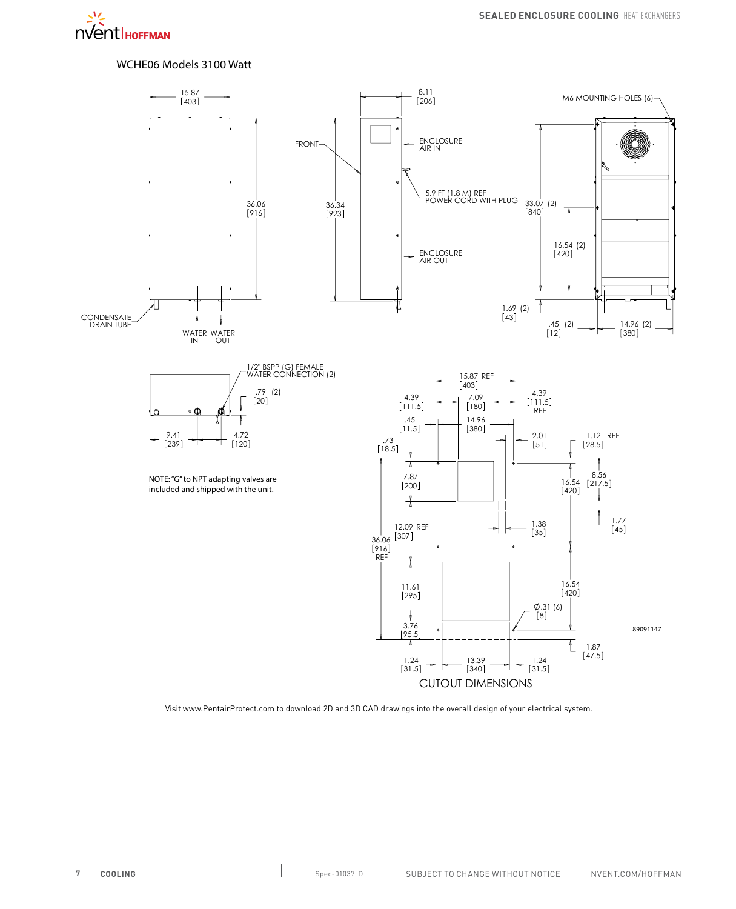# WCHE06 Models 3100 Watt

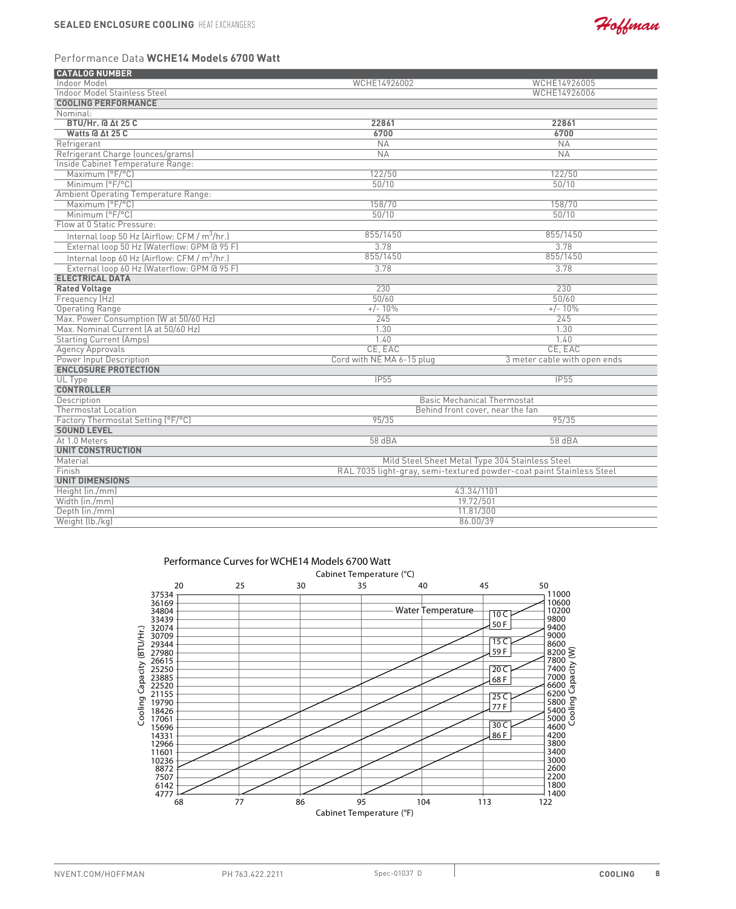

# Performance Data **WCHE14 Models 6700 Watt**

| <b>CATALOG NUMBER</b>                                    |                                                                      |                                    |  |
|----------------------------------------------------------|----------------------------------------------------------------------|------------------------------------|--|
| Indoor Model                                             | WCHE14926002                                                         | WCHE14926005                       |  |
| <b>Indoor Model Stainless Steel</b>                      |                                                                      | WCHE14926006                       |  |
| <b>COOLING PERFORMANCE</b>                               |                                                                      |                                    |  |
| Nominal:                                                 |                                                                      |                                    |  |
| <b>BTU/Hr. @ At 25 C</b>                                 | 22861                                                                | 22861                              |  |
| Watts @ ∆t 25 C                                          | 6700                                                                 | 6700                               |  |
| Refrigerant                                              | <b>NA</b>                                                            | <b>NA</b>                          |  |
| Refrigerant Charge (ounces/grams)                        | NA                                                                   | NA                                 |  |
| Inside Cabinet Temperature Range:                        |                                                                      |                                    |  |
| Maximum (°F/°C)                                          | 122/50                                                               | 122/50                             |  |
| Minimum (°F/°C)                                          | 50/10                                                                | 50/10                              |  |
| Ambient Operating Temperature Range:                     |                                                                      |                                    |  |
| Maximum (°F/°C)                                          | 158/70                                                               | 158/70                             |  |
| Minimum (°F/°C)                                          | 50/10                                                                | 50/10                              |  |
| Flow at 0 Static Pressure:                               |                                                                      |                                    |  |
| Internal loop 50 Hz (Airflow: CFM / m <sup>3</sup> /hr.) | 855/1450                                                             | 855/1450                           |  |
| External loop 50 Hz (Waterflow: GPM @ 95 F)              | 3.78                                                                 | 3.78                               |  |
| Internal loop 60 Hz (Airflow: CFM / m <sup>3</sup> /hr.) | 855/1450                                                             | 855/1450                           |  |
| External loop 60 Hz (Waterflow: GPM @ 95 F)              | 3.78                                                                 | 3.78                               |  |
| <b>ELECTRICAL DATA</b>                                   |                                                                      |                                    |  |
| <b>Rated Voltage</b>                                     | 230                                                                  | 230                                |  |
| Frequency (Hz)                                           | 50/60                                                                | 50/60                              |  |
| <b>Operating Range</b>                                   | $+/- 10%$                                                            | $+/- 10%$                          |  |
| Max. Power Consumption (W at 50/60 Hz)                   | 245                                                                  | 245                                |  |
| Max. Nominal Current (A at 50/60 Hz)                     | 1.30                                                                 | 1.30                               |  |
| <b>Starting Current (Amps)</b>                           | 1.40                                                                 | 1.40                               |  |
| <b>Agency Approvals</b>                                  | CE. EAC                                                              | CE. EAC                            |  |
| <b>Power Input Description</b>                           | Cord with NE MA 6-15 plug                                            | 3 meter cable with open ends       |  |
| <b>ENCLOSURE PROTECTION</b>                              |                                                                      |                                    |  |
| UL Type                                                  | IP55                                                                 | IP55                               |  |
| <b>CONTROLLER</b>                                        |                                                                      |                                    |  |
| Description                                              |                                                                      | <b>Basic Mechanical Thermostat</b> |  |
| <b>Thermostat Location</b>                               |                                                                      | Behind front cover, near the fan   |  |
| Factory Thermostat Setting (°F/°C)                       | 95/35                                                                | 95/35                              |  |
| <b>SOUND LEVEL</b>                                       |                                                                      |                                    |  |
| At 1.0 Meters                                            | 58 dBA                                                               | 58 dBA                             |  |
| <b>UNIT CONSTRUCTION</b>                                 |                                                                      |                                    |  |
| Material                                                 | Mild Steel Sheet Metal Type 304 Stainless Steel                      |                                    |  |
| Finish                                                   | RAL 7035 light-gray, semi-textured powder-coat paint Stainless Steel |                                    |  |
| <b>UNIT DIMENSIONS</b>                                   |                                                                      |                                    |  |
| Height (in./mm)                                          | 43.34/1101                                                           |                                    |  |
| Width (in./mm)                                           | 19.72/501                                                            |                                    |  |
| Depth (in./mm)                                           | 11.81/300                                                            |                                    |  |
| Weight (lb./kg)                                          | 86.00/39                                                             |                                    |  |

Performance Curves for WCHE14 Models 6700 Watt

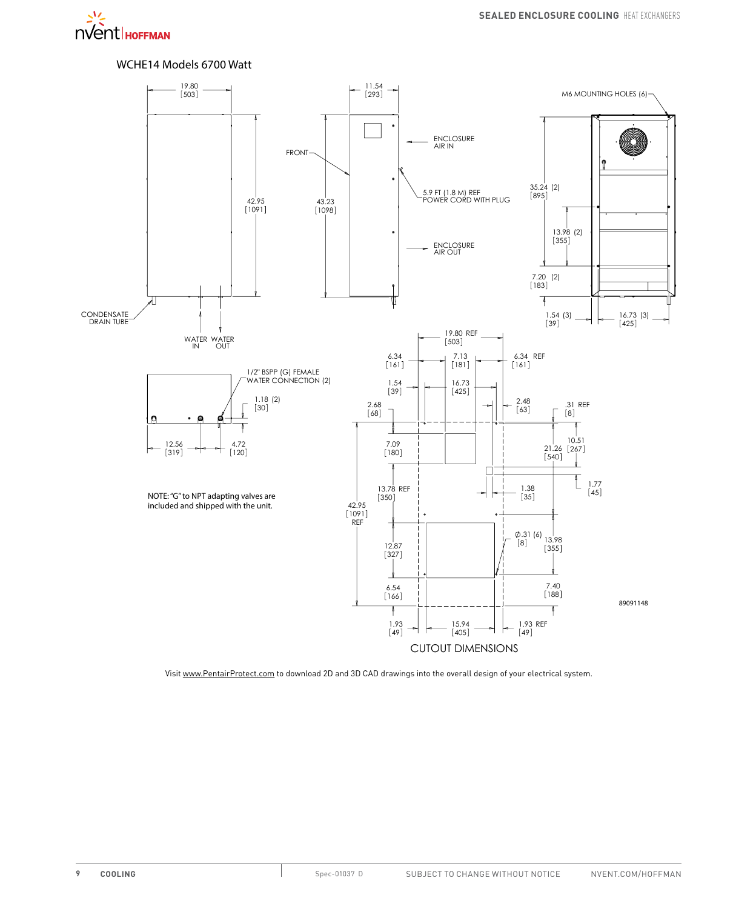

### WCHE14 Models 6700 Watt

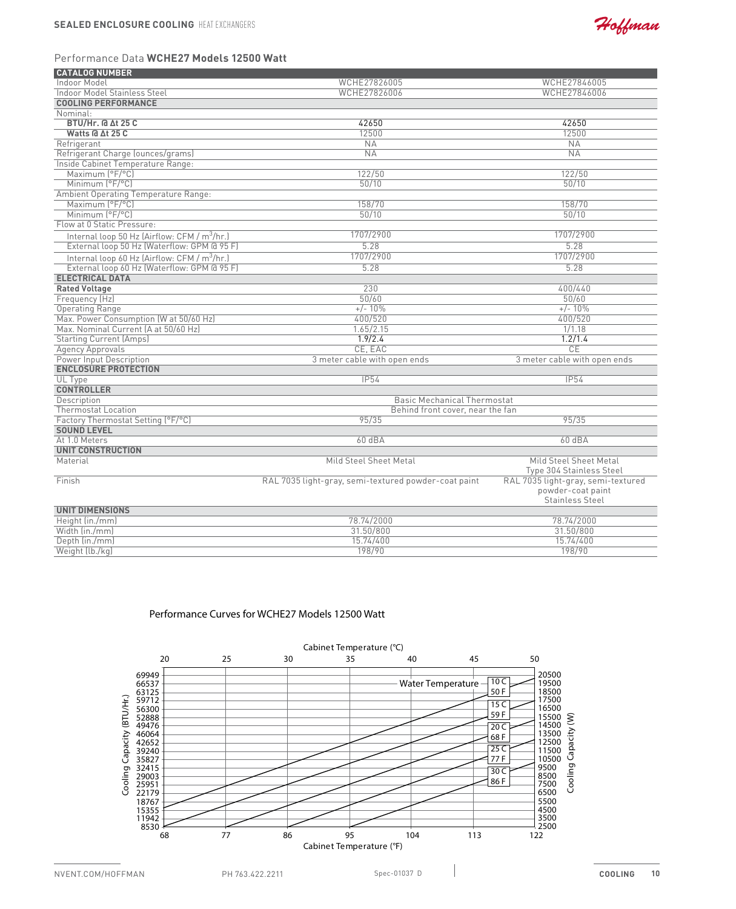

### Performance Data **WCHE27 Models 12500 Watt**

| <b>CATALOG NUMBER</b>                                    |                                                      |                                                         |
|----------------------------------------------------------|------------------------------------------------------|---------------------------------------------------------|
| Indoor Model                                             | WCHE27826005                                         | WCHE27846005                                            |
| Indoor Model Stainless Steel                             | WCHE27826006                                         | WCHE27846006                                            |
| <b>COOLING PERFORMANCE</b>                               |                                                      |                                                         |
| Nominal:                                                 |                                                      |                                                         |
| <b>BTU/Hr. @ At 25 C</b>                                 | 42650                                                | 42650                                                   |
| Watts @ ∆t 25 C                                          | 12500                                                | 12500                                                   |
| Refrigerant                                              | $N_A$                                                | NA                                                      |
| Refrigerant Charge (ounces/grams)                        | <b>NA</b>                                            | <b>NA</b>                                               |
| Inside Cabinet Temperature Range:                        |                                                      |                                                         |
| Maximum (°F/°C)                                          | 122/50                                               | 122/50                                                  |
| Minimum (°F/°C)                                          | 50/10                                                | 50/10                                                   |
| <b>Ambient Operating Temperature Range:</b>              |                                                      |                                                         |
| Maximum (°F/°C)                                          | 158/70                                               | 158/70                                                  |
| Minimum (°F/°C)                                          | 50/10                                                | 50/10                                                   |
| Flow at 0 Static Pressure:                               |                                                      |                                                         |
| Internal loop 50 Hz (Airflow: CFM / m <sup>3</sup> /hr.) | 1707/2900                                            | 1707/2900                                               |
| External loop 50 Hz (Waterflow: GPM @ 95 F)              | 5.28                                                 | 5.28                                                    |
| Internal loop 60 Hz (Airflow: CFM / m <sup>3</sup> /hr.) | 1707/2900                                            | 1707/2900                                               |
| External loop 60 Hz (Waterflow: GPM @ 95 F)              | 5.28                                                 | 5.28                                                    |
| <b>ELECTRICAL DATA</b>                                   |                                                      |                                                         |
| <b>Rated Voltage</b>                                     | 230                                                  | 400/440                                                 |
| Frequency (Hz)                                           | 50/60                                                | 50/60                                                   |
| <b>Operating Range</b>                                   | $+/- 10%$                                            | $+/- 10%$                                               |
| Max. Power Consumption (W at 50/60 Hz)                   | 400/520                                              | 400/520                                                 |
| Max. Nominal Current (A at 50/60 Hz)                     | 1.65/2.15                                            | 1/1.18                                                  |
| <b>Starting Current (Amps)</b>                           | 1.9/2.4                                              | 1.2/1.4                                                 |
| <b>Agency Approvals</b>                                  | CE. EAC                                              | CE                                                      |
| Power Input Description                                  | 3 meter cable with open ends                         | 3 meter cable with open ends                            |
| <b>ENCLOSURE PROTECTION</b>                              |                                                      |                                                         |
| UL Type                                                  | <b>IP54</b>                                          | <b>IP54</b>                                             |
| <b>CONTROLLER</b>                                        |                                                      |                                                         |
| Description                                              | <b>Basic Mechanical Thermostat</b>                   |                                                         |
| <b>Thermostat Location</b>                               | Behind front cover, near the fan                     |                                                         |
| Factory Thermostat Setting (°F/°C)                       | 95/35                                                | 95/35                                                   |
| <b>SOUND LEVEL</b>                                       |                                                      |                                                         |
| At 1.0 Meters                                            | 60dBA                                                | 60dBA                                                   |
| <b>UNIT CONSTRUCTION</b>                                 |                                                      |                                                         |
| Material                                                 | Mild Steel Sheet Metal                               | Mild Steel Sheet Metal<br>Type 304 Stainless Steel      |
| Finish                                                   | RAL 7035 light-gray, semi-textured powder-coat paint | RAL 7035 light-gray, semi-textured<br>powder-coat paint |
|                                                          |                                                      | <b>Stainless Steel</b>                                  |
| <b>UNIT DIMENSIONS</b>                                   |                                                      |                                                         |
| Height (in./mm)                                          | 78.74/2000                                           | 78.74/2000                                              |
| Width (in./mm)                                           | 31.50/800                                            | 31.50/800                                               |
| Depth (in./mm)                                           | 15.74/400                                            | 15.74/400                                               |
| Weight (lb./kg)                                          | 198/90                                               | 198/90                                                  |

### Performance Curves for WCHE27 Models 12500 Watt

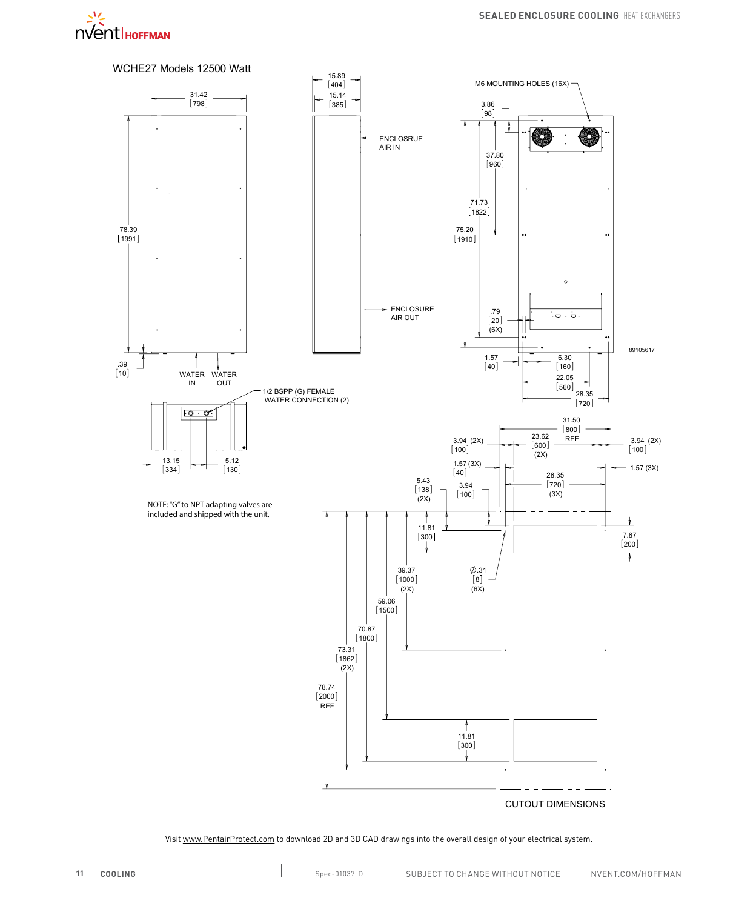